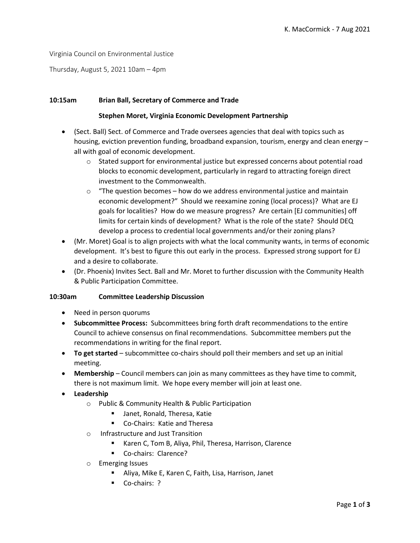Virginia Council on Environmental Justice

Thursday, August 5, 2021 10am – 4pm

# **10:15am Brian Ball, Secretary of Commerce and Trade**

# **Stephen Moret, Virginia Economic Development Partnership**

- (Sect. Ball) Sect. of Commerce and Trade oversees agencies that deal with topics such as housing, eviction prevention funding, broadband expansion, tourism, energy and clean energy – all with goal of economic development.
	- o Stated support for environmental justice but expressed concerns about potential road blocks to economic development, particularly in regard to attracting foreign direct investment to the Commonwealth.
	- $\circ$  "The question becomes how do we address environmental justice and maintain economic development?" Should we reexamine zoning (local process)? What are EJ goals for localities? How do we measure progress? Are certain [EJ communities] off limits for certain kinds of development? What is the role of the state? Should DEQ develop a process to credential local governments and/or their zoning plans?
- (Mr. Moret) Goal is to align projects with what the local community wants, in terms of economic development. It's best to figure this out early in the process. Expressed strong support for EJ and a desire to collaborate.
- (Dr. Phoenix) Invites Sect. Ball and Mr. Moret to further discussion with the Community Health & Public Participation Committee.

# **10:30am Committee Leadership Discussion**

- Need in person quorums
- **Subcommittee Process:** Subcommittees bring forth draft recommendations to the entire Council to achieve consensus on final recommendations. Subcommittee members put the recommendations in writing for the final report.
- **To get started** subcommittee co-chairs should poll their members and set up an initial meeting.
- **Membership**  Council members can join as many committees as they have time to commit, there is not maximum limit. We hope every member will join at least one.
- **Leadership**
	- o Public & Community Health & Public Participation
		- **Janet, Ronald, Theresa, Katie**
		- Co-Chairs: Katie and Theresa
	- o Infrastructure and Just Transition
		- Karen C, Tom B, Aliya, Phil, Theresa, Harrison, Clarence
		- Co-chairs: Clarence?
	- o Emerging Issues
		- Aliya, Mike E, Karen C, Faith, Lisa, Harrison, Janet
		- Co-chairs: ?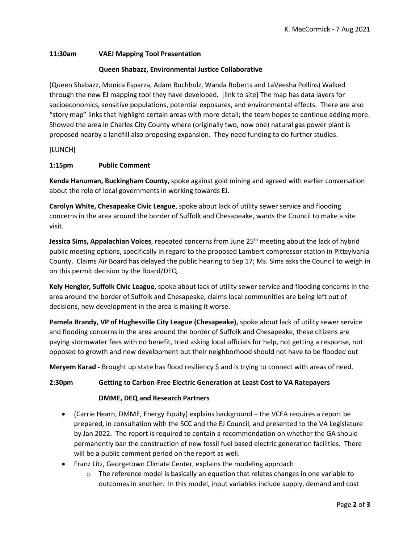# **11:30am VAEJ Mapping Tool Presentation**

# **Queen Shabazz, Environmental Justice Collaborative**

(Queen Shabazz, Monica Esparza, Adam Buchholz, Wanda Roberts and LaVeesha Pollins) Walked through the new EJ mapping tool they have developed. [link to site] The map has data layers for socioeconomics, sensitive populations, potential exposures, and environmental effects. There are also "story map" links that highlight certain areas with more detail; the team hopes to continue adding more. Showed the area in Charles City County where (originally two, now one) natural gas power plant is proposed nearby a landfill also proposing expansion. They need funding to do further studies.

[LUNCH]

# **1:15pm Public Comment**

**Kenda Hanuman, Buckingham County,** spoke against gold mining and agreed with earlier conversation about the role of local governments in working towards EJ.

**Carolyn White, Chesapeake Civic League**, spoke about lack of utility sewer service and flooding concerns in the area around the border of Suffolk and Chesapeake, wants the Council to make a site visit.

Jessica Sims, Appalachian Voices, repeated concerns from June 25<sup>th</sup> meeting about the lack of hybrid public meeting options, specifically in regard to the proposed Lambert compressor station in Pittsylvania County. Claims Air Board has delayed the public hearing to Sep 17; Ms. Sims asks the Council to weigh in on this permit decision by the Board/DEQ.

**Kely Hengler, Suffolk Civic League**, spoke about lack of utility sewer service and flooding concerns in the area around the border of Suffolk and Chesapeake, claims local communities are being left out of decisions, new development in the area is making it worse.

**Pamela Brandy, VP of Hughesville City League (Chesapeake),** spoke about lack of utility sewer service and flooding concerns in the area around the border of Suffolk and Chesapeake, these citizens are paying stormwater fees with no benefit, tried asking local officials for help, not getting a response, not opposed to growth and new development but their neighborhood should not have to be flooded out

**Meryem Karad -** Brought up state has flood resiliency \$ and is trying to connect with areas of need.

# **2:30pm Getting to Carbon-Free Electric Generation at Least Cost to VA Ratepayers**

# **DMME, DEQ and Research Partners**

- (Carrie Hearn, DMME, Energy Equity) explains background the VCEA requires a report be prepared, in consultation with the SCC and the EJ Council, and presented to the VA Legislature by Jan 2022. The report is required to contain a recommendation on whether the GA should permanently ban the construction of new fossil fuel based electric generation facilities. There will be a public comment period on the report as well.
- Franz Litz, Georgetown Climate Center, explains the modeling approach
	- $\circ$  The reference model is basically an equation that relates changes in one variable to outcomes in another. In this model, input variables include supply, demand and cost